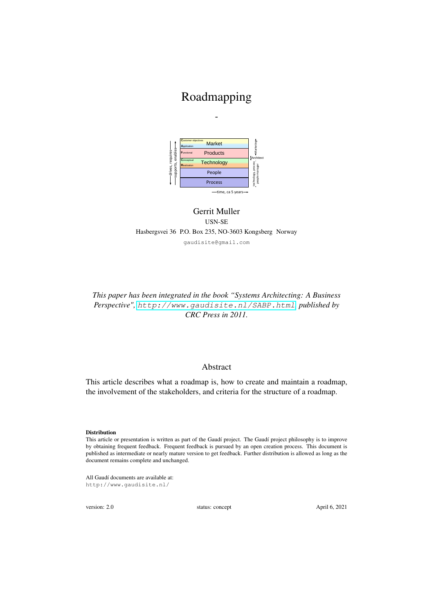# Roadmapping

*-*



### Gerrit Muller USN-SE Hasbergsvei 36 P.O. Box 235, NO-3603 Kongsberg Norway gaudisite@gmail.com

### *This paper has been integrated in the book "Systems Architecting: A Business Perspective",* <http://www.gaudisite.nl/SABP.html>*, published by CRC Press in 2011.*

#### Abstract

This article describes what a roadmap is, how to create and maintain a roadmap, the involvement of the stakeholders, and criteria for the structure of a roadmap.

#### **Distribution**

This article or presentation is written as part of the Gaudí project. The Gaudí project philosophy is to improve by obtaining frequent feedback. Frequent feedback is pursued by an open creation process. This document is published as intermediate or nearly mature version to get feedback. Further distribution is allowed as long as the document remains complete and unchanged.

All Gaudí documents are available at: http://www.gaudisite.nl/

version: 2.0 status: concept April 6, 2021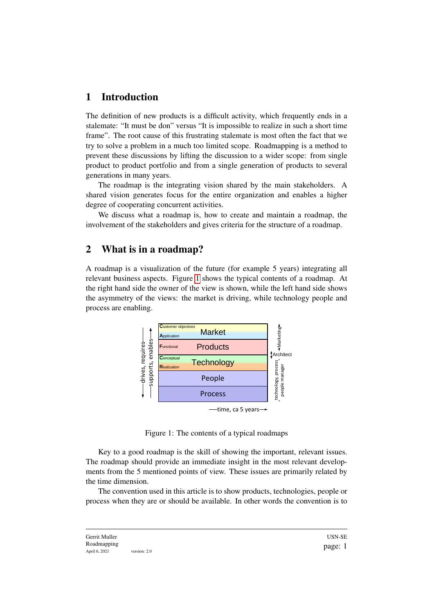## 1 Introduction

The definition of new products is a difficult activity, which frequently ends in a stalemate: "It must be don" versus "It is impossible to realize in such a short time frame". The root cause of this frustrating stalemate is most often the fact that we try to solve a problem in a much too limited scope. Roadmapping is a method to prevent these discussions by lifting the discussion to a wider scope: from single product to product portfolio and from a single generation of products to several generations in many years.

The roadmap is the integrating vision shared by the main stakeholders. A shared vision generates focus for the entire organization and enables a higher degree of cooperating concurrent activities.

We discuss what a roadmap is, how to create and maintain a roadmap, the involvement of the stakeholders and gives criteria for the structure of a roadmap.

## 2 What is in a roadmap?

A roadmap is a visualization of the future (for example 5 years) integrating all relevant business aspects. Figure [1](#page-1-0) shows the typical contents of a roadmap. At the right hand side the owner of the view is shown, while the left hand side shows the asymmetry of the views: the market is driving, while technology people and process are enabling.



<span id="page-1-0"></span>Figure 1: The contents of a typical roadmaps

Key to a good roadmap is the skill of showing the important, relevant issues. The roadmap should provide an immediate insight in the most relevant developments from the 5 mentioned points of view. These issues are primarily related by the time dimension.

The convention used in this article is to show products, technologies, people or process when they are or should be available. In other words the convention is to

Gerrit Muller Roadmapping April 6, 2021 version: 2.0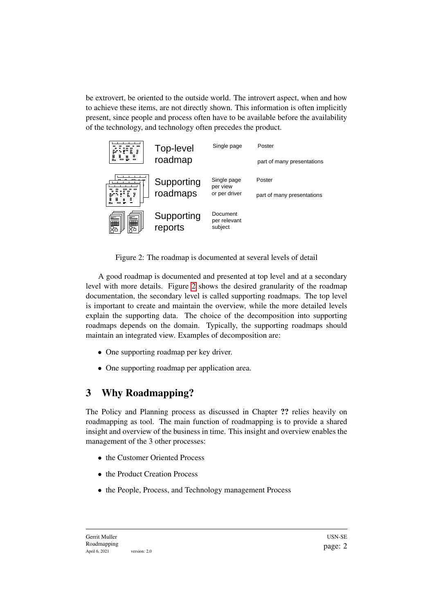be extrovert, be oriented to the outside world. The introvert aspect, when and how to achieve these items, are not directly shown. This information is often implicitly present, since people and process often have to be available before the availability of the technology, and technology often precedes the product.



Figure 2: The roadmap is documented at several levels of detail

<span id="page-2-0"></span>A good roadmap is documented and presented at top level and at a secondary level with more details. Figure [2](#page-2-0) shows the desired granularity of the roadmap documentation, the secondary level is called supporting roadmaps. The top level is important to create and maintain the overview, while the more detailed levels explain the supporting data. The choice of the decomposition into supporting roadmaps depends on the domain. Typically, the supporting roadmaps should maintain an integrated view. Examples of decomposition are:

- One supporting roadmap per key driver.
- One supporting roadmap per application area.

## 3 Why Roadmapping?

The Policy and Planning process as discussed in Chapter ?? relies heavily on roadmapping as tool. The main function of roadmapping is to provide a shared insight and overview of the business in time. This insight and overview enables the management of the 3 other processes:

- the Customer Oriented Process
- the Product Creation Process
- the People, Process, and Technology management Process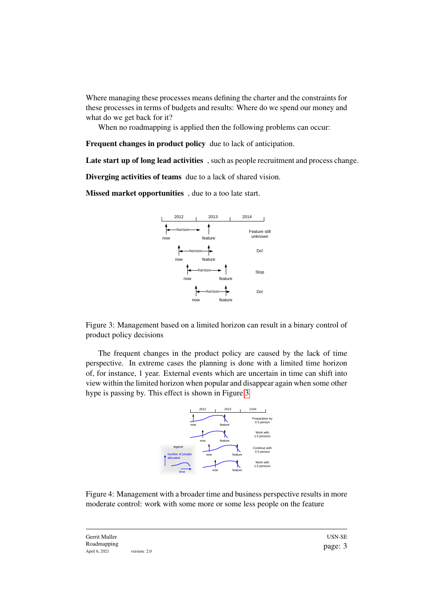Where managing these processes means defining the charter and the constraints for these processes in terms of budgets and results: Where do we spend our money and what do we get back for it?

When no roadmapping is applied then the following problems can occur:

Frequent changes in product policy due to lack of anticipation.

Late start up of long lead activities, such as people recruitment and process change.

Diverging activities of teams due to a lack of shared vision.

Missed market opportunities , due to a too late start.



<span id="page-3-0"></span>Figure 3: Management based on a limited horizon can result in a binary control of product policy decisions

The frequent changes in the product policy are caused by the lack of time perspective. In extreme cases the planning is done with a limited time horizon of, for instance, 1 year. External events which are uncertain in time can shift into view within the limited horizon when popular and disappear again when some other hype is passing by. This effect is shown in Figure [3](#page-3-0)



<span id="page-3-1"></span>Figure 4: Management with a broader time and business perspective results in more moderate control: work with some more or some less people on the feature

Gerrit Muller Roadmapping April 6, 2021 version: 2.0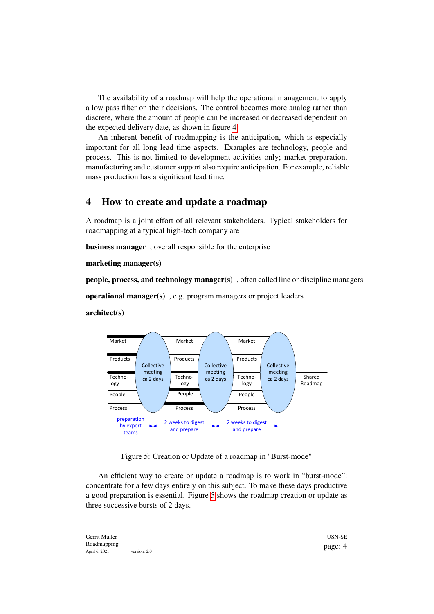The availability of a roadmap will help the operational management to apply a low pass filter on their decisions. The control becomes more analog rather than discrete, where the amount of people can be increased or decreased dependent on the expected delivery date, as shown in figure [4.](#page-3-1)

An inherent benefit of roadmapping is the anticipation, which is especially important for all long lead time aspects. Examples are technology, people and process. This is not limited to development activities only; market preparation, manufacturing and customer support also require anticipation. For example, reliable mass production has a significant lead time.

## 4 How to create and update a roadmap

A roadmap is a joint effort of all relevant stakeholders. Typical stakeholders for roadmapping at a typical high-tech company are

business manager , overall responsible for the enterprise

marketing manager(s)

people, process, and technology manager(s) , often called line or discipline managers

operational manager(s) , e.g. program managers or project leaders

architect(s)



<span id="page-4-0"></span>Figure 5: Creation or Update of a roadmap in "Burst-mode"

An efficient way to create or update a roadmap is to work in "burst-mode": concentrate for a few days entirely on this subject. To make these days productive a good preparation is essential. Figure [5](#page-4-0) shows the roadmap creation or update as three successive bursts of 2 days.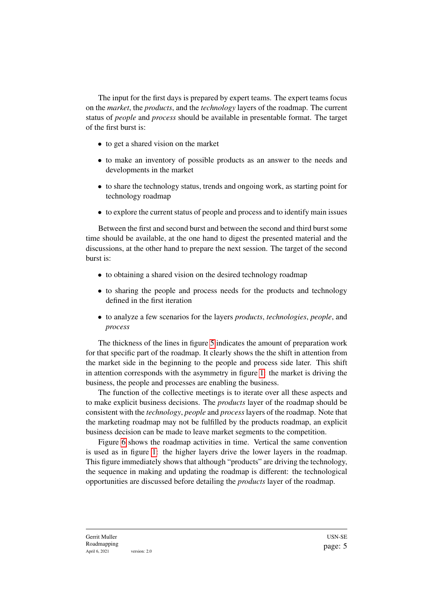The input for the first days is prepared by expert teams. The expert teams focus on the *market*, the *products*, and the *technology* layers of the roadmap. The current status of *people* and *process* should be available in presentable format. The target of the first burst is:

- to get a shared vision on the market
- to make an inventory of possible products as an answer to the needs and developments in the market
- to share the technology status, trends and ongoing work, as starting point for technology roadmap
- to explore the current status of people and process and to identify main issues

Between the first and second burst and between the second and third burst some time should be available, at the one hand to digest the presented material and the discussions, at the other hand to prepare the next session. The target of the second burst is:

- to obtaining a shared vision on the desired technology roadmap
- to sharing the people and process needs for the products and technology defined in the first iteration
- to analyze a few scenarios for the layers *products*, *technologies*, *people*, and *process*

The thickness of the lines in figure [5](#page-4-0) indicates the amount of preparation work for that specific part of the roadmap. It clearly shows the the shift in attention from the market side in the beginning to the people and process side later. This shift in attention corresponds with the asymmetry in figure [1:](#page-1-0) the market is driving the business, the people and processes are enabling the business.

The function of the collective meetings is to iterate over all these aspects and to make explicit business decisions. The *products* layer of the roadmap should be consistent with the *technology*, *people* and *process* layers of the roadmap. Note that the marketing roadmap may not be fulfilled by the products roadmap, an explicit business decision can be made to leave market segments to the competition.

Figure [6](#page-6-0) shows the roadmap activities in time. Vertical the same convention is used as in figure [1:](#page-1-0) the higher layers drive the lower layers in the roadmap. This figure immediately shows that although "products" are driving the technology, the sequence in making and updating the roadmap is different: the technological opportunities are discussed before detailing the *products* layer of the roadmap.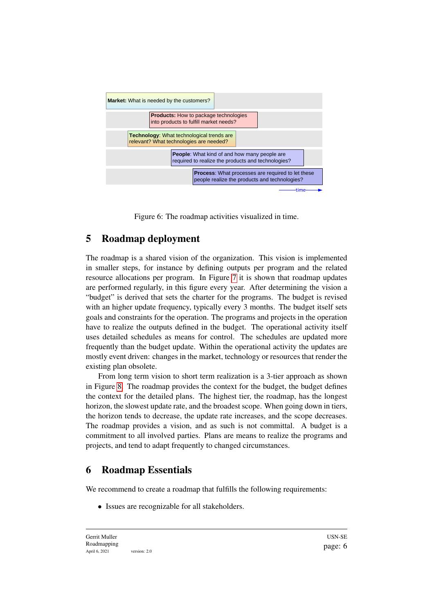

<span id="page-6-0"></span>Figure 6: The roadmap activities visualized in time.

## 5 Roadmap deployment

The roadmap is a shared vision of the organization. This vision is implemented in smaller steps, for instance by defining outputs per program and the related resource allocations per program. In Figure [7](#page-7-0) it is shown that roadmap updates are performed regularly, in this figure every year. After determining the vision a "budget" is derived that sets the charter for the programs. The budget is revised with an higher update frequency, typically every 3 months. The budget itself sets goals and constraints for the operation. The programs and projects in the operation have to realize the outputs defined in the budget. The operational activity itself uses detailed schedules as means for control. The schedules are updated more frequently than the budget update. Within the operational activity the updates are mostly event driven: changes in the market, technology or resources that render the existing plan obsolete.

From long term vision to short term realization is a 3-tier approach as shown in Figure [8.](#page-7-1) The roadmap provides the context for the budget, the budget defines the context for the detailed plans. The highest tier, the roadmap, has the longest horizon, the slowest update rate, and the broadest scope. When going down in tiers, the horizon tends to decrease, the update rate increases, and the scope decreases. The roadmap provides a vision, and as such is not committal. A budget is a commitment to all involved parties. Plans are means to realize the programs and projects, and tend to adapt frequently to changed circumstances.

## 6 Roadmap Essentials

We recommend to create a roadmap that fulfills the following requirements:

• Issues are recognizable for all stakeholders.

Gerrit Muller Roadmapping April 6, 2021 version: 2.0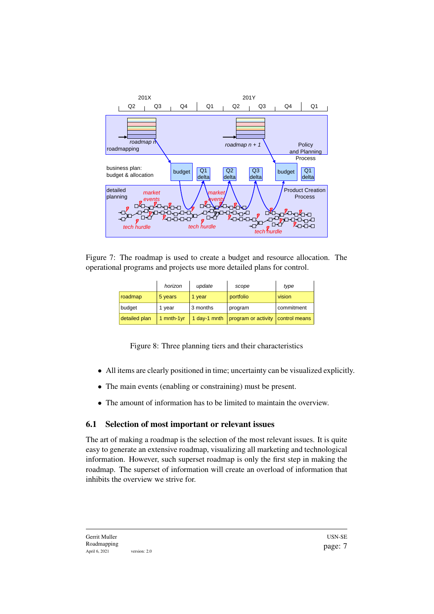

Figure 7: The roadmap is used to create a budget and resource allocation. The operational programs and projects use more detailed plans for control.

<span id="page-7-0"></span>

|               | horizon          | update       | scope               | type          |
|---------------|------------------|--------------|---------------------|---------------|
| roadmap       | 5 years          | 1 year       | portfolio           | vision        |
| budget        | 1 year           | 3 months     | program             | commitment    |
| detailed plan | $1$ mnth- $1$ yr | 1 day-1 mnth | program or activity | control means |

<span id="page-7-1"></span>Figure 8: Three planning tiers and their characteristics

- All items are clearly positioned in time; uncertainty can be visualized explicitly.
- The main events (enabling or constraining) must be present.
- The amount of information has to be limited to maintain the overview.

#### 6.1 Selection of most important or relevant issues

The art of making a roadmap is the selection of the most relevant issues. It is quite easy to generate an extensive roadmap, visualizing all marketing and technological information. However, such superset roadmap is only the first step in making the roadmap. The superset of information will create an overload of information that inhibits the overview we strive for.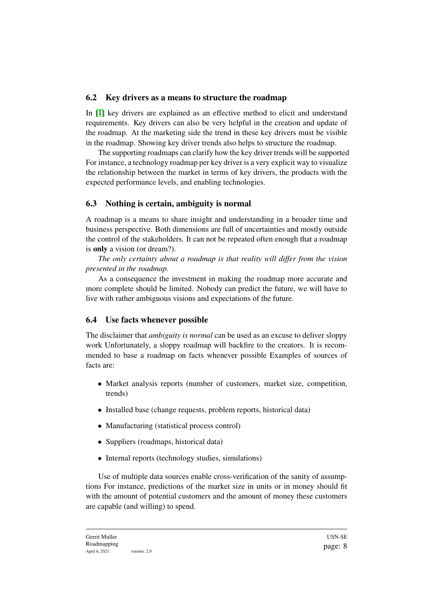### 6.2 Key drivers as a means to structure the roadmap

In [\[1\]](#page-10-0) key drivers are explained as an effective method to elicit and understand requirements. Key drivers can also be very helpful in the creation and update of the roadmap. At the marketing side the trend in these key drivers must be visible in the roadmap. Showing key driver trends also helps to structure the roadmap.

The supporting roadmaps can clarify how the key driver trends will be supported For instance, a technology roadmap per key driver is a very explicit way to visualize the relationship between the market in terms of key drivers, the products with the expected performance levels, and enabling technologies.

## 6.3 Nothing is certain, ambiguity is normal

A roadmap is a means to share insight and understanding in a broader time and business perspective. Both dimensions are full of uncertainties and mostly outside the control of the stakeholders. It can not be repeated often enough that a roadmap is only a vision (or dream?).

*The only certainty about a roadmap is that reality will differ from the vision presented in the roadmap.*

As a consequence the investment in making the roadmap more accurate and more complete should be limited. Nobody can predict the future, we will have to live with rather ambiguous visions and expectations of the future.

### 6.4 Use facts whenever possible

The disclaimer that *ambiguity is normal* can be used as an excuse to deliver sloppy work Unfortunately, a sloppy roadmap will backfire to the creators. It is recommended to base a roadmap on facts whenever possible Examples of sources of facts are:

- Market analysis reports (number of customers, market size, competition, trends)
- Installed base (change requests, problem reports, historical data)
- Manufacturing (statistical process control)
- Suppliers (roadmaps, historical data)
- Internal reports (technology studies, simulations)

Use of multiple data sources enable cross-verification of the sanity of assumptions For instance, predictions of the market size in units or in money should fit with the amount of potential customers and the amount of money these customers are capable (and willing) to spend.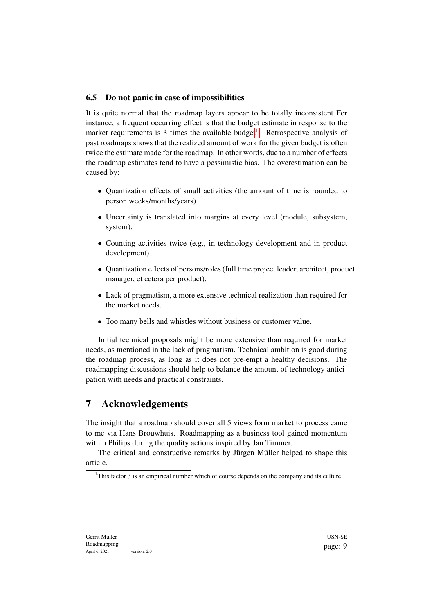## 6.5 Do not panic in case of impossibilities

It is quite normal that the roadmap layers appear to be totally inconsistent For instance, a frequent occurring effect is that the budget estimate in response to the market requirements is 3 times the available budget<sup>[1](#page-9-0)</sup>. Retrospective analysis of past roadmaps shows that the realized amount of work for the given budget is often twice the estimate made for the roadmap. In other words, due to a number of effects the roadmap estimates tend to have a pessimistic bias. The overestimation can be caused by:

- Quantization effects of small activities (the amount of time is rounded to person weeks/months/years).
- Uncertainty is translated into margins at every level (module, subsystem, system).
- Counting activities twice (e.g., in technology development and in product development).
- Quantization effects of persons/roles (full time project leader, architect, product manager, et cetera per product).
- Lack of pragmatism, a more extensive technical realization than required for the market needs.
- Too many bells and whistles without business or customer value.

Initial technical proposals might be more extensive than required for market needs, as mentioned in the lack of pragmatism. Technical ambition is good during the roadmap process, as long as it does not pre-empt a healthy decisions. The roadmapping discussions should help to balance the amount of technology anticipation with needs and practical constraints.

## 7 Acknowledgements

The insight that a roadmap should cover all 5 views form market to process came to me via Hans Brouwhuis. Roadmapping as a business tool gained momentum within Philips during the quality actions inspired by Jan Timmer.

The critical and constructive remarks by Jürgen Müller helped to shape this article.

<span id="page-9-0"></span><sup>&</sup>lt;sup>1</sup>This factor 3 is an empirical number which of course depends on the company and its culture